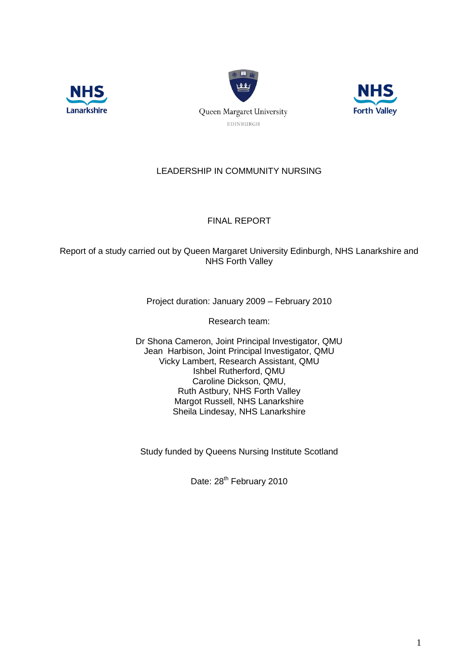





# LEADERSHIP IN COMMUNITY NURSING

# FINAL REPORT

Report of a study carried out by Queen Margaret University Edinburgh, NHS Lanarkshire and NHS Forth Valley

Project duration: January 2009 – February 2010

Research team:

Dr Shona Cameron, Joint Principal Investigator, QMU Jean Harbison, Joint Principal Investigator, QMU Vicky Lambert, Research Assistant, QMU Ishbel Rutherford, QMU Caroline Dickson, QMU, Ruth Astbury, NHS Forth Valley Margot Russell, NHS Lanarkshire Sheila Lindesay, NHS Lanarkshire

Study funded by Queens Nursing Institute Scotland

Date: 28<sup>th</sup> February 2010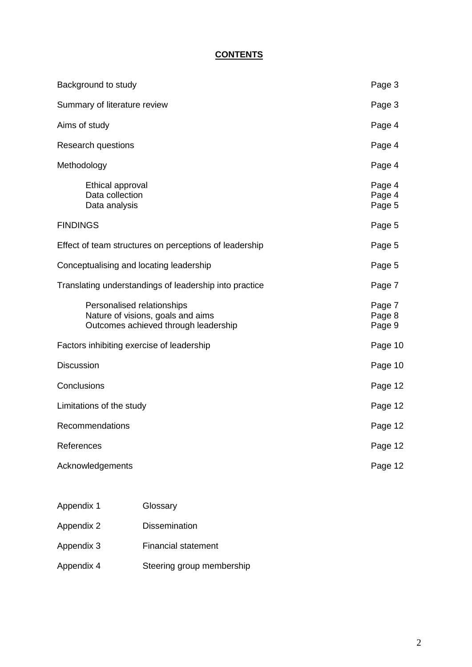# **CONTENTS**

| Background to study                                                                                     | Page 3                     |
|---------------------------------------------------------------------------------------------------------|----------------------------|
| Summary of literature review                                                                            | Page 3                     |
| Aims of study                                                                                           | Page 4                     |
| Research questions                                                                                      | Page 4                     |
| Methodology                                                                                             | Page 4                     |
| Ethical approval<br>Data collection<br>Data analysis                                                    | Page 4<br>Page 4<br>Page 5 |
| <b>FINDINGS</b>                                                                                         | Page 5                     |
| Effect of team structures on perceptions of leadership                                                  | Page 5                     |
| Conceptualising and locating leadership                                                                 | Page 5                     |
| Translating understandings of leadership into practice                                                  | Page 7                     |
| Personalised relationships<br>Nature of visions, goals and aims<br>Outcomes achieved through leadership | Page 7<br>Page 8<br>Page 9 |
| Factors inhibiting exercise of leadership                                                               | Page 10                    |
| Discussion                                                                                              | Page 10                    |
| Conclusions                                                                                             | Page 12                    |
| Limitations of the study                                                                                | Page 12                    |
| Recommendations                                                                                         | Page 12                    |
| References                                                                                              | Page 12                    |
| Acknowledgements                                                                                        | Page 12                    |
|                                                                                                         |                            |

| Appendix 1 | Glossary                   |
|------------|----------------------------|
| Appendix 2 | <b>Dissemination</b>       |
| Appendix 3 | <b>Financial statement</b> |
| Appendix 4 | Steering group membership  |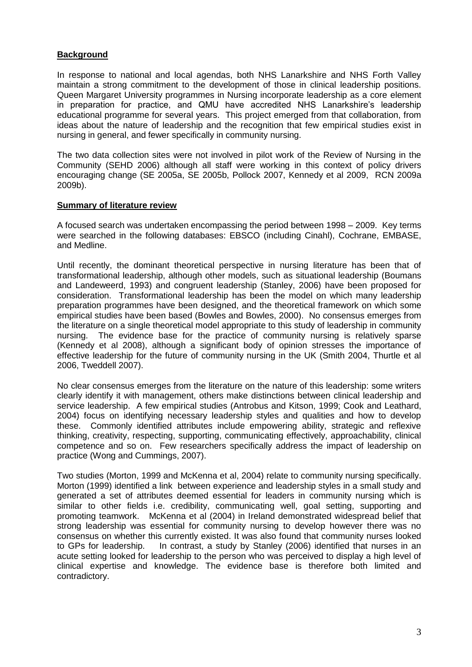# **Background**

In response to national and local agendas, both NHS Lanarkshire and NHS Forth Valley maintain a strong commitment to the development of those in clinical leadership positions. Queen Margaret University programmes in Nursing incorporate leadership as a core element in preparation for practice, and QMU have accredited NHS Lanarkshire's leadership educational programme for several years. This project emerged from that collaboration, from ideas about the nature of leadership and the recognition that few empirical studies exist in nursing in general, and fewer specifically in community nursing.

The two data collection sites were not involved in pilot work of the Review of Nursing in the Community (SEHD 2006) although all staff were working in this context of policy drivers encouraging change (SE 2005a, SE 2005b, Pollock 2007, Kennedy et al 2009, RCN 2009a 2009b).

### **Summary of literature review**

A focused search was undertaken encompassing the period between 1998 – 2009. Key terms were searched in the following databases: EBSCO (including Cinahl), Cochrane, EMBASE, and Medline.

Until recently, the dominant theoretical perspective in nursing literature has been that of transformational leadership, although other models, such as situational leadership (Boumans and Landeweerd, 1993) and congruent leadership (Stanley, 2006) have been proposed for consideration. Transformational leadership has been the model on which many leadership preparation programmes have been designed, and the theoretical framework on which some empirical studies have been based (Bowles and Bowles, 2000). No consensus emerges from the literature on a single theoretical model appropriate to this study of leadership in community nursing. The evidence base for the practice of community nursing is relatively sparse (Kennedy et al 2008), although a significant body of opinion stresses the importance of effective leadership for the future of community nursing in the UK (Smith 2004, Thurtle et al 2006, Tweddell 2007).

No clear consensus emerges from the literature on the nature of this leadership: some writers clearly identify it with management, others make distinctions between clinical leadership and service leadership. A few empirical studies (Antrobus and Kitson, 1999; Cook and Leathard, 2004) focus on identifying necessary leadership styles and qualities and how to develop these. Commonly identified attributes include empowering ability, strategic and reflexive thinking, creativity, respecting, supporting, communicating effectively, approachability, clinical competence and so on. Few researchers specifically address the impact of leadership on practice (Wong and Cummings, 2007).

Two studies (Morton, 1999 and McKenna et al, 2004) relate to community nursing specifically. Morton (1999) identified a link between experience and leadership styles in a small study and generated a set of attributes deemed essential for leaders in community nursing which is similar to other fields i.e. credibility, communicating well, goal setting, supporting and promoting teamwork. McKenna et al (2004) in Ireland demonstrated widespread belief that strong leadership was essential for community nursing to develop however there was no consensus on whether this currently existed. It was also found that community nurses looked to GPs for leadership. In contrast, a study by Stanley (2006) identified that nurses in an acute setting looked for leadership to the person who was perceived to display a high level of clinical expertise and knowledge. The evidence base is therefore both limited and contradictory.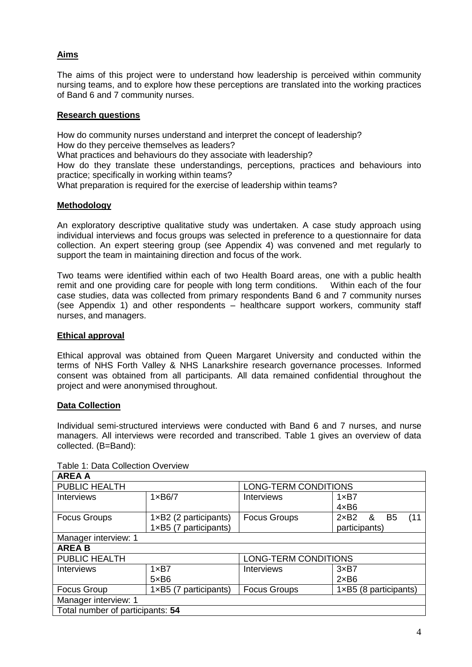# **Aims**

The aims of this project were to understand how leadership is perceived within community nursing teams, and to explore how these perceptions are translated into the working practices of Band 6 and 7 community nurses.

# **Research questions**

How do community nurses understand and interpret the concept of leadership? How do they perceive themselves as leaders? What practices and behaviours do they associate with leadership? How do they translate these understandings, perceptions, practices and behaviours into practice; specifically in working within teams? What preparation is required for the exercise of leadership within teams?

# **Methodology**

An exploratory descriptive qualitative study was undertaken. A case study approach using individual interviews and focus groups was selected in preference to a questionnaire for data collection. An expert steering group (see Appendix 4) was convened and met regularly to support the team in maintaining direction and focus of the work.

Two teams were identified within each of two Health Board areas, one with a public health remit and one providing care for people with long term conditions. Within each of the four case studies, data was collected from primary respondents Band 6 and 7 community nurses (see Appendix 1) and other respondents – healthcare support workers, community staff nurses, and managers.

# **Ethical approval**

Ethical approval was obtained from Queen Margaret University and conducted within the terms of NHS Forth Valley & NHS Lanarkshire research governance processes. Informed consent was obtained from all participants. All data remained confidential throughout the project and were anonymised throughout.

# **Data Collection**

Individual semi-structured interviews were conducted with Band 6 and 7 nurses, and nurse managers. All interviews were recorded and transcribed. Table 1 gives an overview of data collected. (B=Band):

| <b>AREA A</b>                    |                                |                             |                                             |  |  |
|----------------------------------|--------------------------------|-----------------------------|---------------------------------------------|--|--|
| PUBLIC HEALTH                    |                                | <b>LONG-TERM CONDITIONS</b> |                                             |  |  |
| <b>Interviews</b>                | $1 \times B6/7$                | Interviews                  | 1xB7                                        |  |  |
|                                  |                                |                             | $4 \times B6$                               |  |  |
| <b>Focus Groups</b>              | $1 \times B2$ (2 participants) | <b>Focus Groups</b>         | $2\times B2$<br>&<br>(11)<br>B <sub>5</sub> |  |  |
|                                  | 1×B5 (7 participants)          |                             | participants)                               |  |  |
| Manager interview: 1             |                                |                             |                                             |  |  |
| <b>AREAB</b>                     |                                |                             |                                             |  |  |
| PUBLIC HEALTH                    |                                | <b>LONG-TERM CONDITIONS</b> |                                             |  |  |
| <b>Interviews</b>                | $1 \times B7$                  | <b>Interviews</b>           | 3xB7                                        |  |  |
|                                  | $5 \times B6$                  |                             | $2\times$ B6                                |  |  |
| Focus Group                      | $1 \times B5$ (7 participants) | <b>Focus Groups</b>         | $1 \times B5$ (8 participants)              |  |  |
| Manager interview: 1             |                                |                             |                                             |  |  |
| Total number of participants: 54 |                                |                             |                                             |  |  |

Table 1: Data Collection Overview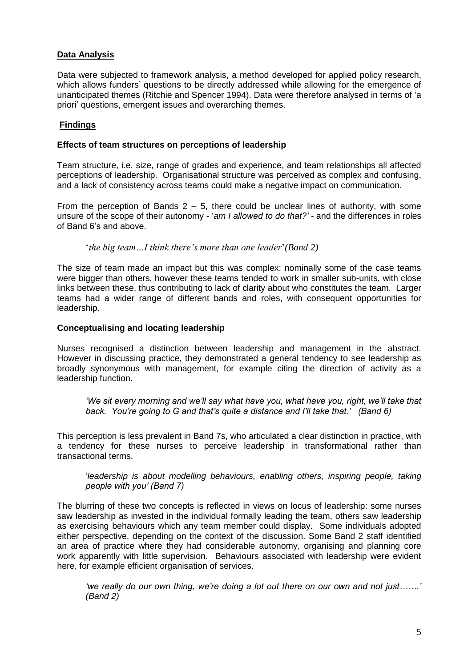# **Data Analysis**

Data were subjected to framework analysis, a method developed for applied policy research, which allows funders' questions to be directly addressed while allowing for the emergence of unanticipated themes (Ritchie and Spencer 1994). Data were therefore analysed in terms of 'a priori' questions, emergent issues and overarching themes.

# **Findings**

### **Effects of team structures on perceptions of leadership**

Team structure, i.e. size, range of grades and experience, and team relationships all affected perceptions of leadership. Organisational structure was perceived as complex and confusing, and a lack of consistency across teams could make a negative impact on communication.

From the perception of Bands  $2 - 5$ , there could be unclear lines of authority, with some unsure of the scope of their autonomy - '*am I allowed to do that?' -* and the differences in roles of Band 6's and above.

'*the big team…I think there's more than one leader*'*(Band 2)* 

The size of team made an impact but this was complex: nominally some of the case teams were bigger than others, however these teams tended to work in smaller sub-units, with close links between these, thus contributing to lack of clarity about who constitutes the team. Larger teams had a wider range of different bands and roles, with consequent opportunities for leadership.

### **Conceptualising and locating leadership**

Nurses recognised a distinction between leadership and management in the abstract. However in discussing practice, they demonstrated a general tendency to see leadership as broadly synonymous with management, for example citing the direction of activity as a leadership function.

*'We sit every morning and we'll say what have you, what have you, right, we'll take that back. You're going to G and that's quite a distance and I'll take that.' (Band 6)* 

This perception is less prevalent in Band 7s, who articulated a clear distinction in practice, with a tendency for these nurses to perceive leadership in transformational rather than transactional terms.

'*leadership is about modelling behaviours, enabling others, inspiring people, taking people with you' (Band 7)*

The blurring of these two concepts is reflected in views on locus of leadership: some nurses saw leadership as invested in the individual formally leading the team, others saw leadership as exercising behaviours which any team member could display. Some individuals adopted either perspective, depending on the context of the discussion. Some Band 2 staff identified an area of practice where they had considerable autonomy, organising and planning core work apparently with little supervision. Behaviours associated with leadership were evident here, for example efficient organisation of services.

*'we really do our own thing, we're doing a lot out there on our own and not just…….' (Band 2)*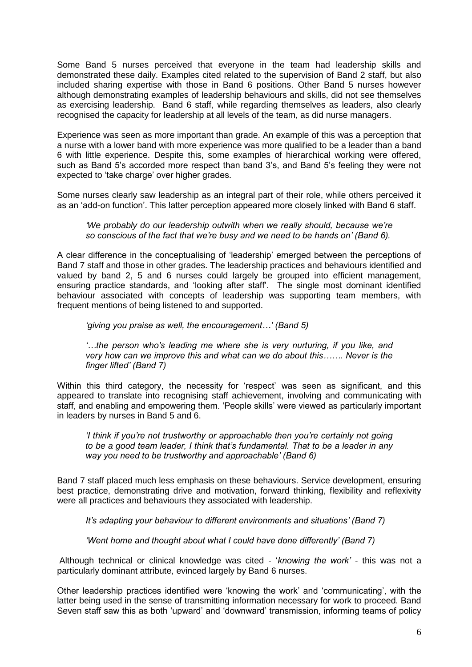Some Band 5 nurses perceived that everyone in the team had leadership skills and demonstrated these daily. Examples cited related to the supervision of Band 2 staff, but also included sharing expertise with those in Band 6 positions. Other Band 5 nurses however although demonstrating examples of leadership behaviours and skills, did not see themselves as exercising leadership. Band 6 staff, while regarding themselves as leaders, also clearly recognised the capacity for leadership at all levels of the team, as did nurse managers.

Experience was seen as more important than grade. An example of this was a perception that a nurse with a lower band with more experience was more qualified to be a leader than a band 6 with little experience. Despite this, some examples of hierarchical working were offered, such as Band 5's accorded more respect than band 3's, and Band 5's feeling they were not expected to 'take charge' over higher grades.

Some nurses clearly saw leadership as an integral part of their role, while others perceived it as an 'add-on function'. This latter perception appeared more closely linked with Band 6 staff.

### *'We probably do our leadership outwith when we really should, because we're so conscious of the fact that we're busy and we need to be hands on' (Band 6).*

A clear difference in the conceptualising of 'leadership' emerged between the perceptions of Band 7 staff and those in other grades. The leadership practices and behaviours identified and valued by band 2, 5 and 6 nurses could largely be grouped into efficient management, ensuring practice standards, and 'looking after staff'. The single most dominant identified behaviour associated with concepts of leadership was supporting team members, with frequent mentions of being listened to and supported.

*'giving you praise as well, the encouragement…' (Band 5)*

*'…the person who's leading me where she is very nurturing, if you like, and very how can we improve this and what can we do about this……. Never is the finger lifted' (Band 7)*

Within this third category, the necessity for 'respect' was seen as significant, and this appeared to translate into recognising staff achievement, involving and communicating with staff, and enabling and empowering them. 'People skills' were viewed as particularly important in leaders by nurses in Band 5 and 6.

*'I think if you're not trustworthy or approachable then you're certainly not going to be a good team leader, I think that's fundamental. That to be a leader in any way you need to be trustworthy and approachable' (Band 6)*

Band 7 staff placed much less emphasis on these behaviours. Service development, ensuring best practice, demonstrating drive and motivation, forward thinking, flexibility and reflexivity were all practices and behaviours they associated with leadership.

*It's adapting your behaviour to different environments and situations' (Band 7)* 

*'Went home and thought about what I could have done differently' (Band 7)* 

Although technical or clinical knowledge was cited - '*knowing the work'* - this was not a particularly dominant attribute, evinced largely by Band 6 nurses.

Other leadership practices identified were 'knowing the work' and 'communicating', with the latter being used in the sense of transmitting information necessary for work to proceed. Band Seven staff saw this as both 'upward' and 'downward' transmission, informing teams of policy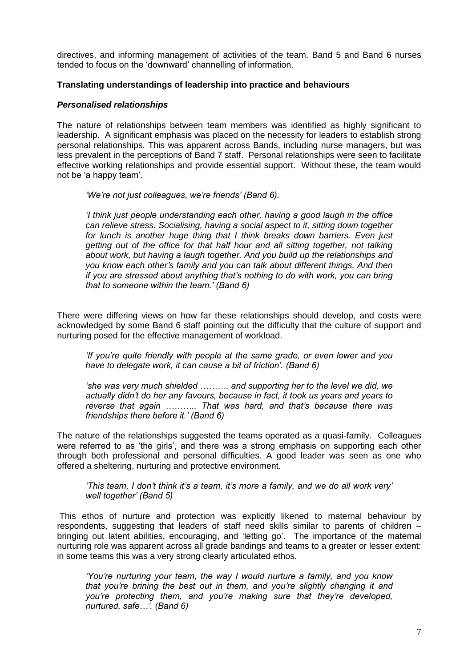directives, and informing management of activities of the team. Band 5 and Band 6 nurses tended to focus on the 'downward' channelling of information.

## **Translating understandings of leadership into practice and behaviours**

### *Personalised relationships*

The nature of relationships between team members was identified as highly significant to leadership. A significant emphasis was placed on the necessity for leaders to establish strong personal relationships. This was apparent across Bands, including nurse managers, but was less prevalent in the perceptions of Band 7 staff. Personal relationships were seen to facilitate effective working relationships and provide essential support. Without these, the team would not be 'a happy team'.

*'We're not just colleagues, we're friends' (Band 6).* 

*'I think just people understanding each other, having a good laugh in the office can relieve stress. Socialising, having a social aspect to it, sitting down together for lunch is another huge thing that I think breaks down barriers. Even just getting out of the office for that half hour and all sitting together, not talking about work, but having a laugh together. And you build up the relationships and you know each other's family and you can talk about different things. And then if you are stressed about anything that's nothing to do with work, you can bring that to someone within the team.' (Band 6)* 

There were differing views on how far these relationships should develop, and costs were acknowledged by some Band 6 staff pointing out the difficulty that the culture of support and nurturing posed for the effective management of workload.

*'If you're quite friendly with people at the same grade, or even lower and you have to delegate work, it can cause a bit of friction'. (Band 6)* 

*'she was very much shielded ………. and supporting her to the level we did, we actually didn't do her any favours, because in fact, it took us years and years to reverse that again ……….. That was hard, and that's because there was friendships there before it.' (Band 6)* 

The nature of the relationships suggested the teams operated as a quasi-family. Colleagues were referred to as 'the girls', and there was a strong emphasis on supporting each other through both professional and personal difficulties. A good leader was seen as one who offered a sheltering, nurturing and protective environment.

*'This team, I don't think it's a team, it's more a family, and we do all work very' well together' (Band 5)* 

This ethos of nurture and protection was explicitly likened to maternal behaviour by respondents, suggesting that leaders of staff need skills similar to parents of children – bringing out latent abilities, encouraging, and 'letting go'. The importance of the maternal nurturing role was apparent across all grade bandings and teams to a greater or lesser extent: in some teams this was a very strong clearly articulated ethos.

*'You're nurturing your team, the way I would nurture a family, and you know that you're brining the best out in them, and you're slightly changing it and you're protecting them, and you're making sure that they're developed, nurtured, safe…'. (Band 6)*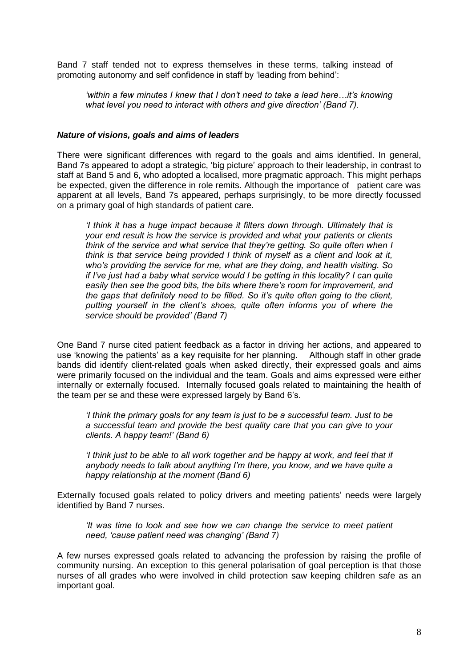Band 7 staff tended not to express themselves in these terms, talking instead of promoting autonomy and self confidence in staff by 'leading from behind':

*'within a few minutes I knew that I don't need to take a lead here…it's knowing what level you need to interact with others and give direction' (Band 7).*

### *Nature of visions, goals and aims of leaders*

There were significant differences with regard to the goals and aims identified. In general, Band 7s appeared to adopt a strategic, 'big picture' approach to their leadership, in contrast to staff at Band 5 and 6, who adopted a localised, more pragmatic approach. This might perhaps be expected, given the difference in role remits. Although the importance of patient care was apparent at all levels, Band 7s appeared, perhaps surprisingly, to be more directly focussed on a primary goal of high standards of patient care.

*'I think it has a huge impact because it filters down through. Ultimately that is your end result is how the service is provided and what your patients or clients think of the service and what service that they're getting. So quite often when I think is that service being provided I think of myself as a client and look at it, who's providing the service for me, what are they doing, and health visiting. So if I've just had a baby what service would I be getting in this locality? I can quite easily then see the good bits, the bits where there's room for improvement, and the gaps that definitely need to be filled. So it's quite often going to the client, putting yourself in the client's shoes, quite often informs you of where the service should be provided' (Band 7)*

One Band 7 nurse cited patient feedback as a factor in driving her actions, and appeared to use 'knowing the patients' as a key requisite for her planning. Although staff in other grade bands did identify client-related goals when asked directly, their expressed goals and aims were primarily focused on the individual and the team. Goals and aims expressed were either internally or externally focused. Internally focused goals related to maintaining the health of the team per se and these were expressed largely by Band 6's.

*'I think the primary goals for any team is just to be a successful team. Just to be a successful team and provide the best quality care that you can give to your clients. A happy team!' (Band 6)*

*'I think just to be able to all work together and be happy at work, and feel that if anybody needs to talk about anything I'm there, you know, and we have quite a happy relationship at the moment (Band 6)*

Externally focused goals related to policy drivers and meeting patients' needs were largely identified by Band 7 nurses.

*'It was time to look and see how we can change the service to meet patient need, 'cause patient need was changing' (Band 7)*

A few nurses expressed goals related to advancing the profession by raising the profile of community nursing. An exception to this general polarisation of goal perception is that those nurses of all grades who were involved in child protection saw keeping children safe as an important goal.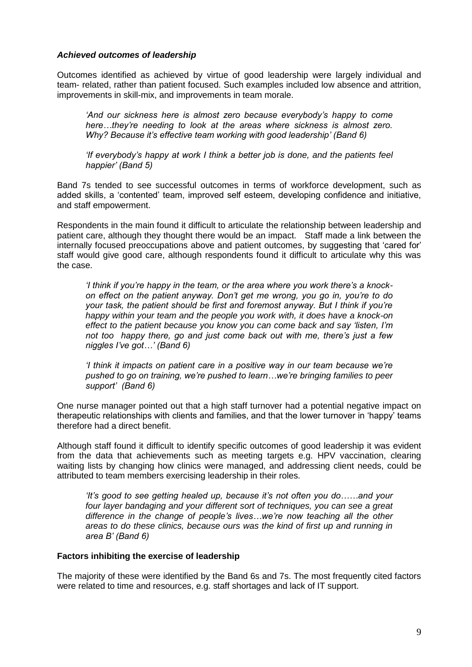# *Achieved outcomes of leadership*

Outcomes identified as achieved by virtue of good leadership were largely individual and team- related, rather than patient focused. Such examples included low absence and attrition, improvements in skill-mix, and improvements in team morale.

*'And our sickness here is almost zero because everybody's happy to come here…they're needing to look at the areas where sickness is almost zero. Why? Because it's effective team working with good leadership' (Band 6)*

*'If everybody's happy at work I think a better job is done, and the patients feel happier' (Band 5)*

Band 7s tended to see successful outcomes in terms of workforce development, such as added skills, a 'contented' team, improved self esteem, developing confidence and initiative, and staff empowerment.

Respondents in the main found it difficult to articulate the relationship between leadership and patient care, although they thought there would be an impact. Staff made a link between the internally focused preoccupations above and patient outcomes, by suggesting that 'cared for' staff would give good care, although respondents found it difficult to articulate why this was the case.

*'I think if you're happy in the team, or the area where you work there's a knockon effect on the patient anyway. Don't get me wrong, you go in, you're to do your task, the patient should be first and foremost anyway. But I think if you're happy within your team and the people you work with, it does have a knock-on effect to the patient because you know you can come back and say 'listen, I'm not too happy there, go and just come back out with me, there's just a few niggles I've got…' (Band 6)*

*'I think it impacts on patient care in a positive way in our team because we're pushed to go on training, we're pushed to learn…we're bringing families to peer support' (Band 6)*

One nurse manager pointed out that a high staff turnover had a potential negative impact on therapeutic relationships with clients and families, and that the lower turnover in 'happy' teams therefore had a direct benefit.

Although staff found it difficult to identify specific outcomes of good leadership it was evident from the data that achievements such as meeting targets e.g. HPV vaccination, clearing waiting lists by changing how clinics were managed, and addressing client needs, could be attributed to team members exercising leadership in their roles.

*'It's good to see getting healed up, because it's not often you do……and your four layer bandaging and your different sort of techniques, you can see a great difference in the change of people's lives…we're now teaching all the other areas to do these clinics, because ours was the kind of first up and running in area B' (Band 6)*

# **Factors inhibiting the exercise of leadership**

The majority of these were identified by the Band 6s and 7s. The most frequently cited factors were related to time and resources, e.g. staff shortages and lack of IT support.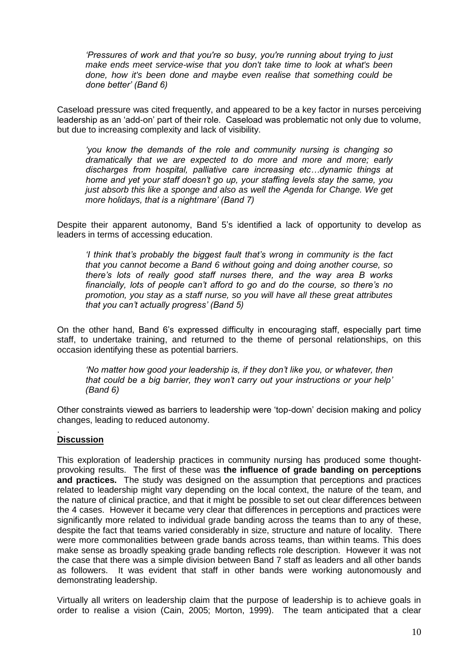*'Pressures of work and that you're so busy, you're running about trying to just make ends meet service-wise that you don't take time to look at what's been done, how it's been done and maybe even realise that something could be done better' (Band 6)*

Caseload pressure was cited frequently, and appeared to be a key factor in nurses perceiving leadership as an 'add-on' part of their role. Caseload was problematic not only due to volume, but due to increasing complexity and lack of visibility.

*'you know the demands of the role and community nursing is changing so dramatically that we are expected to do more and more and more; early discharges from hospital, palliative care increasing etc…dynamic things at home and yet your staff doesn't go up, your staffing levels stay the same, you just absorb this like a sponge and also as well the Agenda for Change. We get more holidays, that is a nightmare' (Band 7)*

Despite their apparent autonomy, Band 5's identified a lack of opportunity to develop as leaders in terms of accessing education.

*'I think that's probably the biggest fault that's wrong in community is the fact that you cannot become a Band 6 without going and doing another course, so there's lots of really good staff nurses there, and the way area B works financially, lots of people can't afford to go and do the course, so there's no promotion, you stay as a staff nurse, so you will have all these great attributes that you can't actually progress' (Band 5)*

On the other hand, Band 6's expressed difficulty in encouraging staff, especially part time staff, to undertake training, and returned to the theme of personal relationships, on this occasion identifying these as potential barriers.

*'No matter how good your leadership is, if they don't like you, or whatever, then that could be a big barrier, they won't carry out your instructions or your help' (Band 6)* 

Other constraints viewed as barriers to leadership were 'top-down' decision making and policy changes, leading to reduced autonomy.

#### . **Discussion**

This exploration of leadership practices in community nursing has produced some thoughtprovoking results. The first of these was **the influence of grade banding on perceptions and practices.** The study was designed on the assumption that perceptions and practices related to leadership might vary depending on the local context, the nature of the team, and the nature of clinical practice, and that it might be possible to set out clear differences between the 4 cases. However it became very clear that differences in perceptions and practices were significantly more related to individual grade banding across the teams than to any of these, despite the fact that teams varied considerably in size, structure and nature of locality. There were more commonalities between grade bands across teams, than within teams. This does make sense as broadly speaking grade banding reflects role description. However it was not the case that there was a simple division between Band 7 staff as leaders and all other bands as followers. It was evident that staff in other bands were working autonomously and demonstrating leadership.

Virtually all writers on leadership claim that the purpose of leadership is to achieve goals in order to realise a vision (Cain, 2005; Morton, 1999). The team anticipated that a clear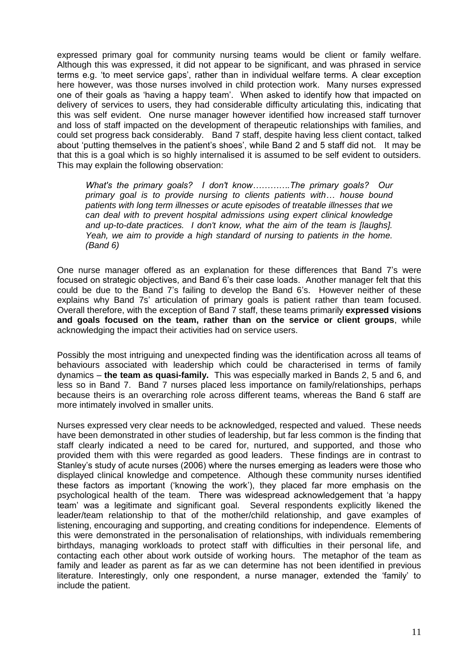expressed primary goal for community nursing teams would be client or family welfare. Although this was expressed, it did not appear to be significant, and was phrased in service terms e.g. 'to meet service gaps', rather than in individual welfare terms. A clear exception here however, was those nurses involved in child protection work. Many nurses expressed one of their goals as 'having a happy team'. When asked to identify how that impacted on delivery of services to users, they had considerable difficulty articulating this, indicating that this was self evident. One nurse manager however identified how increased staff turnover and loss of staff impacted on the development of therapeutic relationships with families, and could set progress back considerably. Band 7 staff, despite having less client contact, talked about 'putting themselves in the patient's shoes', while Band 2 and 5 staff did not. It may be that this is a goal which is so highly internalised it is assumed to be self evident to outsiders. This may explain the following observation:

*What's the primary goals? I don't know………….The primary goals? Our primary goal is to provide nursing to clients patients with… house bound patients with long term illnesses or acute episodes of treatable illnesses that we can deal with to prevent hospital admissions using expert clinical knowledge and up-to-date practices. I don't know, what the aim of the team is [laughs]. Yeah, we aim to provide a high standard of nursing to patients in the home. (Band 6)*

One nurse manager offered as an explanation for these differences that Band 7's were focused on strategic objectives, and Band 6's their case loads. Another manager felt that this could be due to the Band 7's failing to develop the Band 6's. However neither of these explains why Band 7s' articulation of primary goals is patient rather than team focused. Overall therefore, with the exception of Band 7 staff, these teams primarily **expressed visions and goals focused on the team, rather than on the service or client groups**, while acknowledging the impact their activities had on service users.

Possibly the most intriguing and unexpected finding was the identification across all teams of behaviours associated with leadership which could be characterised in terms of family dynamics – **the team as quasi-family.** This was especially marked in Bands 2, 5 and 6, and less so in Band 7. Band 7 nurses placed less importance on family/relationships, perhaps because theirs is an overarching role across different teams, whereas the Band 6 staff are more intimately involved in smaller units.

Nurses expressed very clear needs to be acknowledged, respected and valued. These needs have been demonstrated in other studies of leadership, but far less common is the finding that staff clearly indicated a need to be cared for, nurtured, and supported, and those who provided them with this were regarded as good leaders. These findings are in contrast to Stanley's study of acute nurses (2006) where the nurses emerging as leaders were those who displayed clinical knowledge and competence. Although these community nurses identified these factors as important ('knowing the work'), they placed far more emphasis on the psychological health of the team. There was widespread acknowledgement that 'a happy team' was a legitimate and significant goal. Several respondents explicitly likened the leader/team relationship to that of the mother/child relationship, and gave examples of listening, encouraging and supporting, and creating conditions for independence. Elements of this were demonstrated in the personalisation of relationships, with individuals remembering birthdays, managing workloads to protect staff with difficulties in their personal life, and contacting each other about work outside of working hours. The metaphor of the team as family and leader as parent as far as we can determine has not been identified in previous literature. Interestingly, only one respondent, a nurse manager, extended the 'family' to include the patient.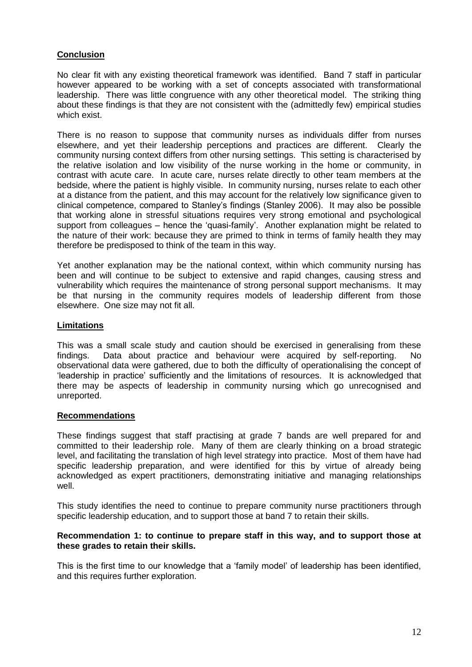# **Conclusion**

No clear fit with any existing theoretical framework was identified. Band 7 staff in particular however appeared to be working with a set of concepts associated with transformational leadership. There was little congruence with any other theoretical model. The striking thing about these findings is that they are not consistent with the (admittedly few) empirical studies which exist.

There is no reason to suppose that community nurses as individuals differ from nurses elsewhere, and yet their leadership perceptions and practices are different. Clearly the community nursing context differs from other nursing settings. This setting is characterised by the relative isolation and low visibility of the nurse working in the home or community, in contrast with acute care. In acute care, nurses relate directly to other team members at the bedside, where the patient is highly visible. In community nursing, nurses relate to each other at a distance from the patient, and this may account for the relatively low significance given to clinical competence, compared to Stanley's findings (Stanley 2006). It may also be possible that working alone in stressful situations requires very strong emotional and psychological support from colleagues – hence the 'quasi-family'. Another explanation might be related to the nature of their work: because they are primed to think in terms of family health they may therefore be predisposed to think of the team in this way.

Yet another explanation may be the national context, within which community nursing has been and will continue to be subject to extensive and rapid changes, causing stress and vulnerability which requires the maintenance of strong personal support mechanisms. It may be that nursing in the community requires models of leadership different from those elsewhere. One size may not fit all.

# **Limitations**

This was a small scale study and caution should be exercised in generalising from these findings. Data about practice and behaviour were acquired by self-reporting. No observational data were gathered, due to both the difficulty of operationalising the concept of 'leadership in practice' sufficiently and the limitations of resources. It is acknowledged that there may be aspects of leadership in community nursing which go unrecognised and unreported.

#### **Recommendations**

These findings suggest that staff practising at grade 7 bands are well prepared for and committed to their leadership role. Many of them are clearly thinking on a broad strategic level, and facilitating the translation of high level strategy into practice. Most of them have had specific leadership preparation, and were identified for this by virtue of already being acknowledged as expert practitioners, demonstrating initiative and managing relationships well.

This study identifies the need to continue to prepare community nurse practitioners through specific leadership education, and to support those at band 7 to retain their skills.

### **Recommendation 1: to continue to prepare staff in this way, and to support those at these grades to retain their skills.**

This is the first time to our knowledge that a 'family model' of leadership has been identified, and this requires further exploration.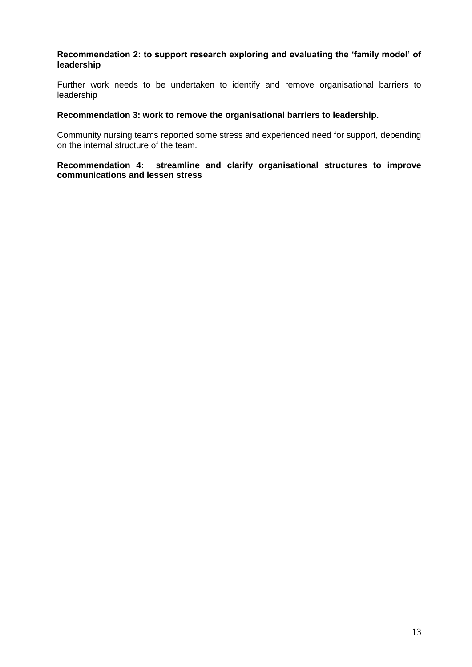## **Recommendation 2: to support research exploring and evaluating the 'family model' of leadership**

Further work needs to be undertaken to identify and remove organisational barriers to leadership

### **Recommendation 3: work to remove the organisational barriers to leadership.**

Community nursing teams reported some stress and experienced need for support, depending on the internal structure of the team.

**Recommendation 4: streamline and clarify organisational structures to improve communications and lessen stress**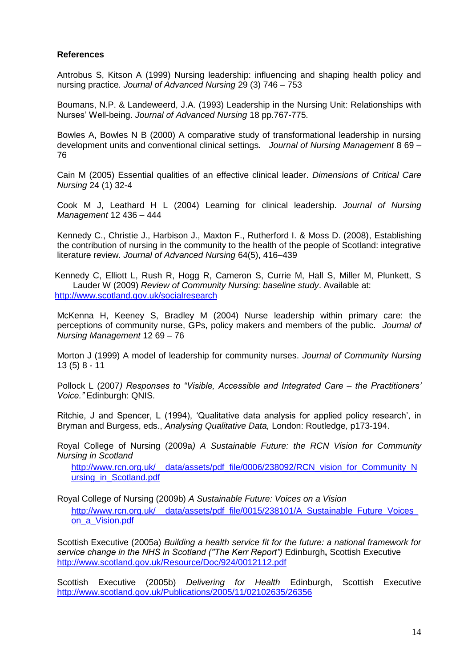# **References**

Antrobus S, Kitson A (1999) Nursing leadership: influencing and shaping health policy and nursing practice*. Journal of Advanced Nursing* 29 (3) 746 – 753

Boumans, N.P. & Landeweerd, J.A. (1993) Leadership in the Nursing Unit: Relationships with Nurses' Well-being. *Journal of Advanced Nursing* 18 pp.767-775.

Bowles A, Bowles N B (2000) A comparative study of transformational leadership in nursing development units and conventional clinical settings*. Journal of Nursing Management* 8 69 – 76

Cain M (2005) Essential qualities of an effective clinical leader. *Dimensions of Critical Care Nursing* 24 (1) 32-4

Cook M J, Leathard H L (2004) Learning for clinical leadership. *Journal of Nursing Management* 12 436 – 444

Kennedy C., Christie J., Harbison J., Maxton F., Rutherford I. & Moss D. (2008), Establishing the contribution of nursing in the community to the health of the people of Scotland: integrative literature review. *Journal of Advanced Nursing* 64(5), 416–439

Kennedy C, Elliott L, Rush R, Hogg R, Cameron S, Currie M, Hall S, Miller M, Plunkett, S Lauder W (2009) *Review of Community Nursing: baseline study*. Available at: <http://www.scotland.gov.uk/socialresearch>

McKenna H, Keeney S, Bradley M (2004) Nurse leadership within primary care: the perceptions of community nurse, GPs, policy makers and members of the public. *Journal of Nursing Management* 12 69 – 76

Morton J (1999) A model of leadership for community nurses. *Journal of Community Nursing* 13 (5) 8 - 11

Pollock L (2007*) Responses to "Visible, Accessible and Integrated Care – the Practitioners' Voice."* Edinburgh: QNIS.

Ritchie, J and Spencer, L (1994), 'Qualitative data analysis for applied policy research', in Bryman and Burgess, eds., *Analysing Qualitative Data,* London: Routledge, p173-194.

Royal College of Nursing (2009a*) A Sustainable Future: the RCN Vision for Community Nursing in Scotland*

[http://www.rcn.org.uk/\\_\\_data/assets/pdf\\_file/0006/238092/RCN\\_vision\\_for\\_Community\\_N](http://www.rcn.org.uk/__data/assets/pdf_file/0006/238092/RCN_vision_for_Community_Nursing_in_Scotland.pdf) ursing in Scotland.pdf

Royal College of Nursing (2009b) *A Sustainable Future: Voices on a Vision*  [http://www.rcn.org.uk/\\_\\_data/assets/pdf\\_file/0015/238101/A\\_Sustainable\\_Future\\_Voices\\_](http://www.rcn.org.uk/__data/assets/pdf_file/0015/238101/A_Sustainable_Future_Voices_on_a_Vision.pdf) [on\\_a\\_Vision.pdf](http://www.rcn.org.uk/__data/assets/pdf_file/0015/238101/A_Sustainable_Future_Voices_on_a_Vision.pdf)

Scottish Executive (2005a) *Building a health service fit for the future: a national framework for service change in the NHS in Scotland ("The Kerr Report")* Edinburgh**,** Scottish Executive <http://www.scotland.gov.uk/Resource/Doc/924/0012112.pdf>

Scottish Executive (2005b) *Delivering for Health* Edinburgh, Scottish Executive <http://www.scotland.gov.uk/Publications/2005/11/02102635/26356>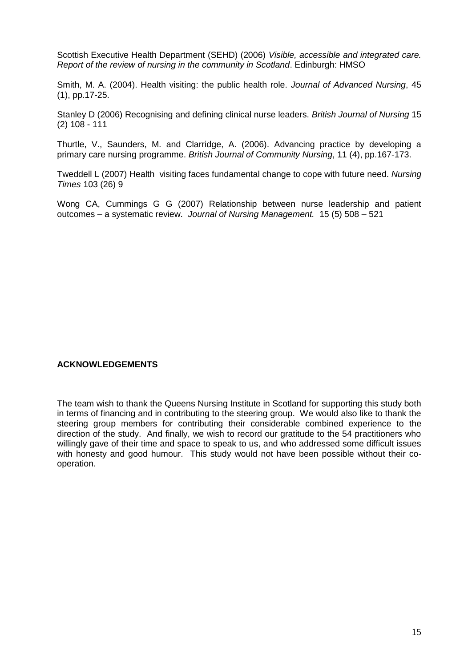Scottish Executive Health Department (SEHD) (2006) *Visible, accessible and integrated care. Report of the review of nursing in the community in Scotland*. Edinburgh: HMSO

Smith, M. A. (2004). Health visiting: the public health role. *Journal of Advanced Nursing*, 45 (1), pp.17-25.

Stanley D (2006) Recognising and defining clinical nurse leaders. *British Journal of Nursing* 15 (2) 108 - 111

Thurtle, V., Saunders, M. and Clarridge, A. (2006). Advancing practice by developing a primary care nursing programme. *British Journal of Community Nursing*, 11 (4), pp.167-173.

Tweddell L (2007) Health visiting faces fundamental change to cope with future need. *Nursing Times* 103 (26) 9

Wong CA, Cummings G G (2007) Relationship between nurse leadership and patient outcomes – a systematic review. *Journal of Nursing Management.* 15 (5) 508 – 521

### **ACKNOWLEDGEMENTS**

The team wish to thank the Queens Nursing Institute in Scotland for supporting this study both in terms of financing and in contributing to the steering group. We would also like to thank the steering group members for contributing their considerable combined experience to the direction of the study. And finally, we wish to record our gratitude to the 54 practitioners who willingly gave of their time and space to speak to us, and who addressed some difficult issues with honesty and good humour. This study would not have been possible without their cooperation.